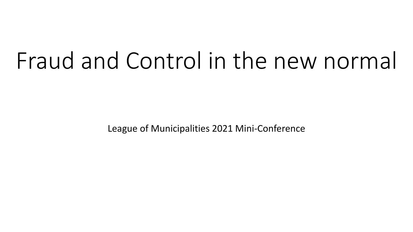# Fraud and Control in the new normal

League of Municipalities 2021 Mini-Conference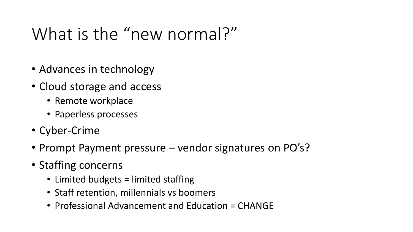# What is the "new normal?"

- Advances in technology
- Cloud storage and access
	- Remote workplace
	- Paperless processes
- Cyber-Crime
- Prompt Payment pressure vendor signatures on PO's?
- Staffing concerns
	- Limited budgets = limited staffing
	- Staff retention, millennials vs boomers
	- Professional Advancement and Education = CHANGE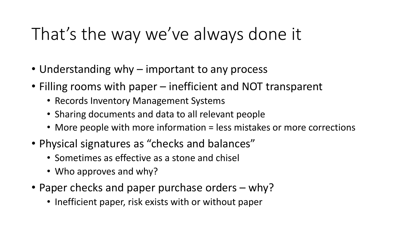#### That's the way we've always done it

- Understanding why important to any process
- Filling rooms with paper inefficient and NOT transparent
	- Records Inventory Management Systems
	- Sharing documents and data to all relevant people
	- More people with more information = less mistakes or more corrections
- Physical signatures as "checks and balances"
	- Sometimes as effective as a stone and chisel
	- Who approves and why?
- Paper checks and paper purchase orders why?
	- Inefficient paper, risk exists with or without paper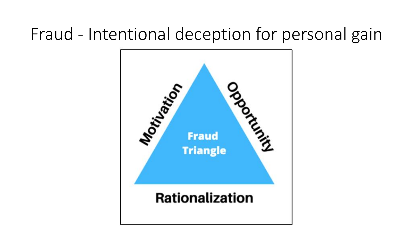#### Fraud - Intentional deception for personal gain

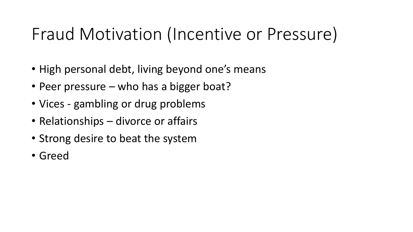# Fraud Motivation (Incentive or Pressure)

- High personal debt, living beyond one's means
- Peer pressure who has a bigger boat?
- Vices gambling or drug problems
- Relationships divorce or affairs
- Strong desire to beat the system
- Greed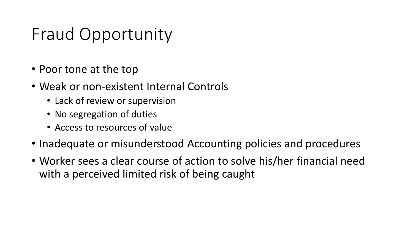## Fraud Opportunity

- Poor tone at the top
- Weak or non-existent Internal Controls
	- Lack of review or supervision
	- No segregation of duties
	- Access to resources of value
- Inadequate or misunderstood Accounting policies and procedures
- Worker sees a clear course of action to solve his/her financial need with a perceived limited risk of being caught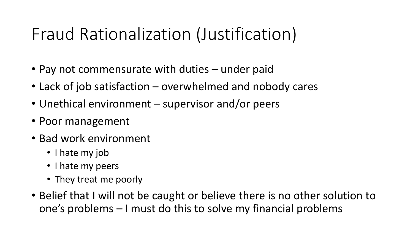# Fraud Rationalization (Justification)

- Pay not commensurate with duties under paid
- Lack of job satisfaction overwhelmed and nobody cares
- Unethical environment supervisor and/or peers
- Poor management
- Bad work environment
	- I hate my job
	- I hate my peers
	- They treat me poorly
- Belief that I will not be caught or believe there is no other solution to one's problems – I must do this to solve my financial problems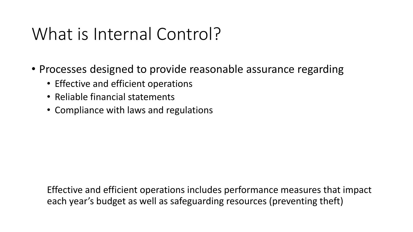## What is Internal Control?

- Processes designed to provide reasonable assurance regarding
	- Effective and efficient operations
	- Reliable financial statements
	- Compliance with laws and regulations

Effective and efficient operations includes performance measures that impact each year's budget as well as safeguarding resources (preventing theft)